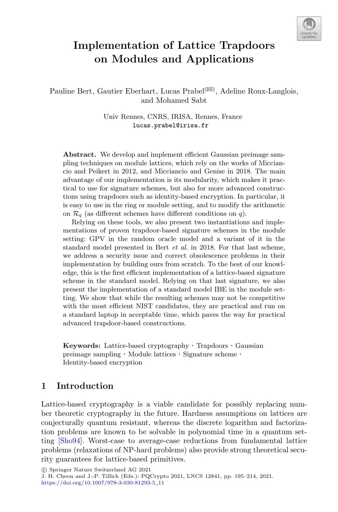

# **Implementation of Lattice Trapdoors on Modules and Applications**

Pauline Bert, Gautier Eberhart, Lucas Prabel<sup>( $\boxtimes$ )</sup>, Adeline Roux-Langlois, and Mohamed Sabt

> Univ Rennes, CNRS, IRISA, Rennes, France lucas.prabel@irisa.fr

**Abstract.** We develop and implement efficient Gaussian preimage sampling techniques on module lattices, which rely on the works of Micciancio and Peikert in 2012, and Micciancio and Genise in 2018. The main advantage of our implementation is its modularity, which makes it practical to use for signature schemes, but also for more advanced constructions using trapdoors such as identity-based encryption. In particular, it is easy to use in the ring or module setting, and to modify the arithmetic on  $\mathcal{R}_q$  (as different schemes have different conditions on q).

Relying on these tools, we also present two instantiations and implementations of proven trapdoor-based signature schemes in the module setting: GPV in the random oracle model and a variant of it in the standard model presented in Bert *et al.* in 2018. For that last scheme, we address a security issue and correct obsolescence problems in their implementation by building ours from scratch. To the best of our knowledge, this is the first efficient implementation of a lattice-based signature scheme in the standard model. Relying on that last signature, we also present the implementation of a standard model IBE in the module setting. We show that while the resulting schemes may not be competitive with the most efficient NIST candidates, they are practical and run on a standard laptop in acceptable time, which paves the way for practical advanced trapdoor-based constructions.

**Keywords:** Lattice-based cryptography · Trapdoors · Gaussian preimage sampling  $\cdot$  Module lattices  $\cdot$  Signature scheme  $\cdot$  Identity-based encryption

# **1 Introduction**

Lattice-based cryptography is a viable candidate for possibly replacing number theoretic cryptography in the future. Hardness assumptions on lattices are conjecturally quantum resistant, whereas the discrete logarithm and factorization problems are known to be solvable in polynomial time in a quantum setting [\[Sho94](#page-19-0)]. Worst-case to average-case reductions from fundamental lattice problems (relaxations of NP-hard problems) also provide strong theoretical security guarantees for lattice-based primitives.

-c Springer Nature Switzerland AG 2021

J. H. Cheon and J.-P. Tillich (Eds.): PQCrypto 2021, LNCS 12841, pp. 195–214, 2021. [https://doi.org/10.1007/978-3-030-81293-5](https://doi.org/10.1007/978-3-030-81293-5_11)\_11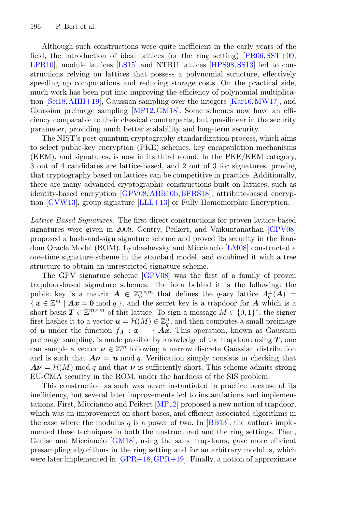Although such constructions were quite inefficient in the early years of the field, the introduction of ideal lattices (or the ring setting)  $[PR06,SST+09,$  $[PR06,SST+09,$  $[PR06,SST+09,$ [LPR10\]](#page-18-0), module lattices [\[LS15\]](#page-18-1) and NTRU lattices [\[HPS98](#page-18-2)[,SS13\]](#page-19-3) led to constructions relying on lattices that possess a polynomial structure, effectively speeding up computations and reducing storage costs. On the practical side, much work has been put into improving the efficiency of polynomial multiplication [\[Sei18](#page-19-4)[,AHH+19](#page-17-0)], Gaussian sampling over the integers [\[Kar16](#page-18-3)[,MW17](#page-19-5)], and Gaussian preimage sampling [\[MP12,](#page-19-6)[GM18](#page-18-4)]. Some schemes now have an efficiency comparable to their classical counterparts, but quasilinear in the security parameter, providing much better scalability and long-term security.

The NIST's post-quantum cryptography standardization process, which aims to select public-key encryption (PKE) schemes, key encapsulation mechanisms (KEM), and signatures, is now in its third round. In the PKE/KEM category, 3 out of 4 candidates are lattice-based, and 2 out of 3 for signatures, proving that cryptography based on lattices can be competitive in practice. Additionally, there are many advanced cryptographic constructions built on lattices, such as identity-based encryption [\[GPV08](#page-18-5)[,ABB10b,](#page-17-1)[BFRS18\]](#page-17-2), attribute-based encryption [\[GVW13](#page-18-6)], group signature [\[LLL+13\]](#page-18-7) or Fully Homomorphic Encryption.

*Lattice-Based Signatures.* The first direct constructions for proven lattice-based signatures were given in 2008. Gentry, Peikert, and Vaikuntanathan [\[GPV08](#page-18-5)] proposed a hash-and-sign signature scheme and proved its security in the Random Oracle Model (ROM). Lyubashevsky and Micciancio [\[LM08\]](#page-18-8) constructed a one-time signature scheme in the standard model, and combined it with a tree structure to obtain an unrestricted signature scheme.

The GPV signature scheme [\[GPV08\]](#page-18-5) was the first of a family of proven trapdoor-based signature schemes. The idea behind it is the following: the public key is a matrix  $\mathbf{A} \in \mathbb{Z}_q^{n \times m}$  that defines the q-ary lattice  $\Lambda_q^{\perp}(\mathbf{A}) =$  $\{ x \in \mathbb{Z}^m \mid Ax = 0 \mod q \}$ , and the secret key is a trapdoor for *A* which is a short basis  $T \in \mathbb{Z}^{m \times m}$  of this lattice. To sign a message  $M \in \{0,1\}^*$ , the signer first hashes it to a vector  $u = \mathcal{H}(M) \in \mathbb{Z}_q^n$ , and then computes a small preimage of *u* under the function  $f_A : x \mapsto A\hat{x}$ . This operation, known as Gaussian preimage sampling, is made possible by knowledge of the trapdoor: using *T* , one can sample a vector  $\nu \in \mathbb{Z}^m$  following a narrow discrete Gaussian distribution and is such that  $A\nu = u \mod q$ . Verification simply consists in checking that  $A\nu = H(M)$  mod q and that  $\nu$  is sufficiently short. This scheme admits strong EU-CMA security in the ROM, under the hardness of the SIS problem.

This construction as such was never instantiated in practice because of its inefficiency, but several later improvements led to instantiations and implementations. First, Micciancio and Peikert [\[MP12\]](#page-19-6) proposed a new notion of trapdoor, which was an improvement on short bases, and efficient associated algorithms in the case where the modulus q is a power of two. In [\[BB13](#page-17-3)], the authors implemented these techniques in both the unstructured and the ring settings. Then, Genise and Micciancio [\[GM18\]](#page-18-4), using the same trapdoors, gave more efficient presampling algorithms in the ring setting and for an arbitrary modulus, which were later implemented in [\[GPR+18,](#page-18-9)[GPR+19](#page-18-10)]. Finally, a notion of approximate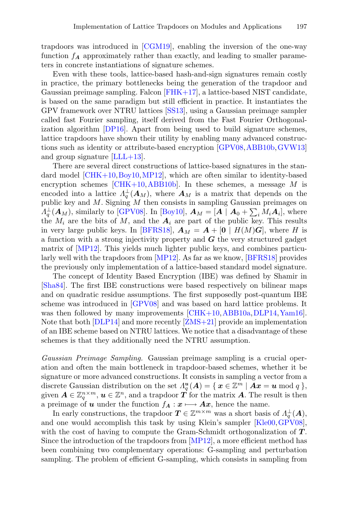trapdoors was introduced in [\[CGM19](#page-17-4)], enabling the inversion of the one-way function  $f_A$  approximately rather than exactly, and leading to smaller parameters in concrete instantiations of signature schemes.

Even with these tools, lattice-based hash-and-sign signatures remain costly in practice, the primary bottlenecks being the generation of the trapdoor and Gaussian preimage sampling. Falcon [\[FHK+17\]](#page-18-11), a lattice-based NIST candidate, is based on the same paradigm but still efficient in practice. It instantiates the GPV framework over NTRU lattices [\[SS13](#page-19-3)], using a Gaussian preimage sampler called fast Fourier sampling, itself derived from the Fast Fourier Orthogonalization algorithm [\[DP16](#page-17-5)]. Apart from being used to build signature schemes, lattice trapdoors have shown their utility by enabling many advanced constructions such as identity or attribute-based encryption [\[GPV08,](#page-18-5)[ABB10b](#page-17-1)[,GVW13\]](#page-18-6) and group signature  $|LLL+13|$ .

There are several direct constructions of lattice-based signatures in the standard model [\[CHK+10](#page-17-6)[,Boy10](#page-17-7),[MP12\]](#page-19-6), which are often similar to identity-based encryption schemes  $[CHK+10, ABB10b]$  $[CHK+10, ABB10b]$ . In these schemes, a message M is encoded into a lattice  $\Lambda_q^{\perp}(\mathbf{A}_M)$ , where  $\mathbf{A}_M$  is a matrix that depends on the public key and M. Signing M then consists in sampling Gaussian preimages on  $A_q^{\perp}(\mathbf{A}_M)$ , similarly to [\[GPV08\]](#page-18-5). In [\[Boy10\]](#page-17-7),  $\mathbf{A}_M = [\mathbf{A} \mid \mathbf{A}_0 + \sum_i M_i \mathbf{A}_i]$ , where the  $M_i$  are the bits of  $M$ , and the  $A_i$  are part of the public key. This results in very large public keys. In [\[BFRS18](#page-17-2)],  $A_M = A + [0 \mid H(M)G]$ , where H is a function with a strong injectivity property and *G* the very structured gadget matrix of [\[MP12\]](#page-19-6). This yields much lighter public keys, and combines particularly well with the trapdoors from [\[MP12](#page-19-6)]. As far as we know, [\[BFRS18](#page-17-2)] provides the previously only implementation of a lattice-based standard model signature.

The concept of Identity Based Encryption (IBE) was defined by Shamir in [\[Sha84](#page-19-7)]. The first IBE constructions were based respectively on bilinear maps and on quadratic residue assumptions. The first supposedly post-quantum IBE scheme was introduced in [\[GPV08](#page-18-5)] and was based on hard lattice problems. It was then followed by many improvements [\[CHK+10,](#page-17-6) [ABB10a,](#page-17-8) [DLP14](#page-17-9), [Yam16\]](#page-19-8). Note that both [\[DLP14](#page-17-9)] and more recently [\[ZMS+21\]](#page-19-9) provide an implementation of an IBE scheme based on NTRU lattices. We notice that a disadvantage of these schemes is that they additionally need the NTRU assumption.

*Gaussian Preimage Sampling.* Gaussian preimage sampling is a crucial operation and often the main bottleneck in trapdoor-based schemes, whether it be signature or more advanced constructions. It consists in sampling a vector from a discrete Gaussian distribution on the set  $\Lambda_q^u(A) = \{ x \in \mathbb{Z}^m \mid Ax = u \bmod q \}$ , given  $A \in \mathbb{Z}_q^{n \times m}$ ,  $u \in \mathbb{Z}^n$ , and a trapdoor  $T$  for the matrix A. The result is then a preimage of *u* under the function  $f_A: x \mapsto Ax$ , hence the name.

In early constructions, the trapdoor  $T \in \mathbb{Z}^{m \times m}$  was a short basis of  $\Lambda_q^{\perp}(A)$ , and one would accomplish this task by using Klein's sampler [\[Kle00](#page-18-12),[GPV08\]](#page-18-5), with the cost of having to compute the Gram-Schmidt orthogonalization of *T* . Since the introduction of the trapdoors from [\[MP12](#page-19-6)], a more efficient method has been combining two complementary operations: G-sampling and perturbation sampling. The problem of efficient G-sampling, which consists in sampling from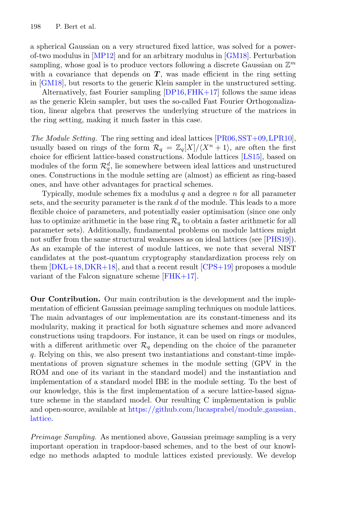a spherical Gaussian on a very structured fixed lattice, was solved for a powerof-two modulus in [\[MP12\]](#page-19-6) and for an arbitrary modulus in [\[GM18](#page-18-4)]. Perturbation sampling, whose goal is to produce vectors following a discrete Gaussian on  $\mathbb{Z}^m$ with a covariance that depends on  $T$ , was made efficient in the ring setting in [\[GM18\]](#page-18-4), but resorts to the generic Klein sampler in the unstructured setting.

Alternatively, fast Fourier sampling  $[DP16, FHK+17]$  $[DP16, FHK+17]$  follows the same ideas as the generic Klein sampler, but uses the so-called Fast Fourier Orthogonalization, linear algebra that preserves the underlying structure of the matrices in the ring setting, making it much faster in this case.

*The Module Setting.* The ring setting and ideal lattices [\[PR06,](#page-19-1) [SST+09](#page-19-2), LPR10]. usually based on rings of the form  $\mathcal{R}_q = \mathbb{Z}_q[X]/\langle X^n + 1 \rangle$ , are often the first choice for efficient lattice-based constructions. Module lattices [\[LS15](#page-18-1)], based on modules of the form  $\mathcal{R}_q^d$ , lie somewhere between ideal lattices and unstructured ones. Constructions in the module setting are (almost) as efficient as ring-based ones, and have other advantages for practical schemes.

Typically, module schemes fix a modulus  $q$  and a degree  $n$  for all parameter sets, and the security parameter is the rank d of the module. This leads to a more flexible choice of parameters, and potentially easier optimisation (since one only has to optimize arithmetic in the base ring  $\mathcal{R}_q$  to obtain a faster arithmetic for all parameter sets). Additionally, fundamental problems on module lattices might not suffer from the same structural weaknesses as on ideal lattices (see [\[PHS19\]](#page-19-10)). As an example of the interest of module lattices, we note that several NIST candidates at the post-quantum cryptography standardization process rely on them  $[DKL+18, DKR+18]$  $[DKL+18, DKR+18]$  $[DKL+18, DKR+18]$  $[DKL+18, DKR+18]$ , and that a recent result  $[CPS+19]$  proposes a module variant of the Falcon signature scheme [\[FHK+17\]](#page-18-11).

**Our Contribution.** Our main contribution is the development and the implementation of efficient Gaussian preimage sampling techniques on module lattices. The main advantages of our implementation are its constant-timeness and its modularity, making it practical for both signature schemes and more advanced constructions using trapdoors. For instance, it can be used on rings or modules, with a different arithmetic over  $\mathcal{R}_q$  depending on the choice of the parameter q. Relying on this, we also present two instantiations and constant-time implementations of proven signature schemes in the module setting (GPV in the ROM and one of its variant in the standard model) and the instantiation and implementation of a standard model IBE in the module setting. To the best of our knowledge, this is the first implementation of a secure lattice-based signature scheme in the standard model. Our resulting C implementation is public and open-source, available at [https://github.com/lucasprabel/module](https://github.com/lucasprabel/module_gaussian_lattice) gaussian [lattice.](https://github.com/lucasprabel/module_gaussian_lattice)

*Preimage Sampling.* As mentioned above, Gaussian preimage sampling is a very important operation in trapdoor-based schemes, and to the best of our knowledge no methods adapted to module lattices existed previously. We develop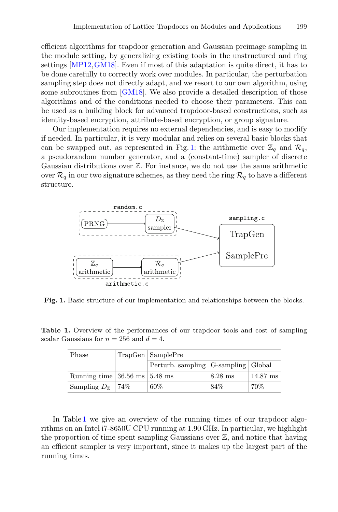efficient algorithms for trapdoor generation and Gaussian preimage sampling in the module setting, by generalizing existing tools in the unstructured and ring settings [\[MP12,](#page-19-6)[GM18](#page-18-4)]. Even if most of this adaptation is quite direct, it has to be done carefully to correctly work over modules. In particular, the perturbation sampling step does not directly adapt, and we resort to our own algorithm, using some subroutines from [\[GM18\]](#page-18-4). We also provide a detailed description of those algorithms and of the conditions needed to choose their parameters. This can be used as a building block for advanced trapdoor-based constructions, such as identity-based encryption, attribute-based encryption, or group signature.

Our implementation requires no external dependencies, and is easy to modify if needed. In particular, it is very modular and relies on several basic blocks that can be swapped out, as represented in Fig. [1:](#page-4-0) the arithmetic over  $\mathbb{Z}_q$  and  $\mathcal{R}_q$ , a pseudorandom number generator, and a (constant-time) sampler of discrete Gaussian distributions over Z. For instance, we do not use the same arithmetic over  $\mathcal{R}_q$  in our two signature schemes, as they need the ring  $\mathcal{R}_q$  to have a different structure.



<span id="page-4-0"></span>**Fig. 1.** Basic structure of our implementation and relationships between the blocks.

**Table 1.** Overview of the performances of our trapdoor tools and cost of sampling scalar Gaussians for  $n = 256$  and  $d = 4$ .

<span id="page-4-1"></span>

| Phase                                              | TrapGen   SamplePre                     |           |                    |  |  |  |
|----------------------------------------------------|-----------------------------------------|-----------|--------------------|--|--|--|
|                                                    | Perturb. sampling   G-sampling   Global |           |                    |  |  |  |
| Running time $ 36.56 \text{ ms}   5.48 \text{ ms}$ |                                         | $8.28$ ms | $14.87 \text{ ms}$ |  |  |  |
| Sampling $D_{\mathbb{Z}}$   74\%                   | 60%                                     | 84\%      | 70%                |  |  |  |

In Table [1](#page-4-1) we give an overview of the running times of our trapdoor algorithms on an Intel i7-8650U CPU running at 1.90 GHz. In particular, we highlight the proportion of time spent sampling Gaussians over  $\mathbb{Z}$ , and notice that having an efficient sampler is very important, since it makes up the largest part of the running times.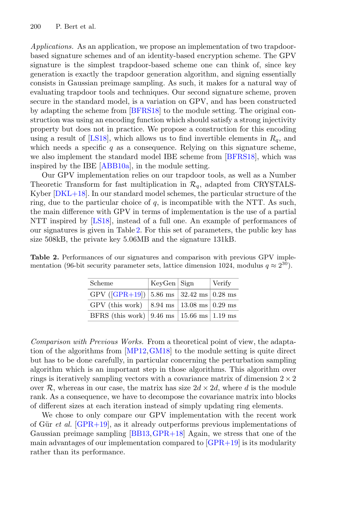*Applications.* As an application, we propose an implementation of two trapdoorbased signature schemes and of an identity-based encryption scheme. The GPV signature is the simplest trapdoor-based scheme one can think of, since key generation is exactly the trapdoor generation algorithm, and signing essentially consists in Gaussian preimage sampling. As such, it makes for a natural way of evaluating trapdoor tools and techniques. Our second signature scheme, proven secure in the standard model, is a variation on GPV, and has been constructed by adapting the scheme from [\[BFRS18\]](#page-17-2) to the module setting. The original construction was using an encoding function which should satisfy a strong injectivity property but does not in practice. We propose a construction for this encoding using a result of [\[LS18\]](#page-19-11), which allows us to find invertible elements in  $R_q$ , and which needs a specific  $q$  as a consequence. Relying on this signature scheme, we also implement the standard model IBE scheme from [\[BFRS18](#page-17-2)], which was inspired by the IBE [\[ABB10a](#page-17-8)], in the module setting.

Our GPV implementation relies on our trapdoor tools, as well as a Number Theoretic Transform for fast multiplication in  $\mathcal{R}_q$ , adapted from CRYSTALS-Kyber [\[DKL+18](#page-17-10)]. In our standard model schemes, the particular structure of the ring, due to the particular choice of  $q$ , is incompatible with the NTT. As such, the main difference with GPV in terms of implementation is the use of a partial NTT inspired by [\[LS18](#page-19-11)], instead of a full one. An example of performances of our signatures is given in Table [2.](#page-5-0) For this set of parameters, the public key has size 508kB, the private key 5.06MB and the signature 131kB.

| Scheme                                                                   | KeyGen   Sign | Verify |
|--------------------------------------------------------------------------|---------------|--------|
| GPV ([GPR+19]) $ 5.86 \text{ ms}   32.42 \text{ ms}   0.28 \text{ ms}$   |               |        |
| GPV (this work) $ 8.94 \text{ ms}   13.08 \text{ ms}   0.29 \text{ ms}$  |               |        |
| BFRS (this work) $ 9.46 \text{ ms}   15.66 \text{ ms}   1.19 \text{ ms}$ |               |        |

<span id="page-5-0"></span>**Table 2.** Performances of our signatures and comparison with previous GPV implementation (96-bit security parameter sets, lattice dimension 1024, modulus  $q \approx 2^{30}$ ).

*Comparison with Previous Works.* From a theoretical point of view, the adaptation of the algorithms from [\[MP12](#page-19-6)[,GM18](#page-18-4)] to the module setting is quite direct but has to be done carefully, in particular concerning the perturbation sampling algorithm which is an important step in those algorithms. This algorithm over rings is iteratively sampling vectors with a covariance matrix of dimension  $2 \times 2$ over R, whereas in our case, the matrix has size  $2d \times 2d$ , where d is the module rank. As a consequence, we have to decompose the covariance matrix into blocks of different sizes at each iteration instead of simply updating ring elements.

We chose to only compare our GPV implementation with the recent work of Gür *et al.*  $[GPR+19]$ , as it already outperforms previous implementations of Gaussian preimage sampling [\[BB13](#page-17-3)[,GPR+18](#page-18-9)] Again, we stress that one of the main advantages of our implementation compared to  $GPR+19$  is its modularity rather than its performance.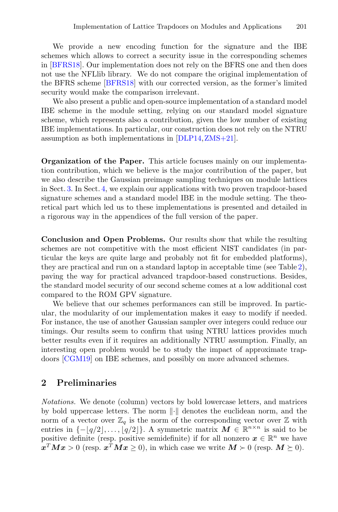We provide a new encoding function for the signature and the IBE schemes which allows to correct a security issue in the corresponding schemes in [\[BFRS18\]](#page-17-2). Our implementation does not rely on the BFRS one and then does not use the NFLlib library. We do not compare the original implementation of the BFRS scheme [\[BFRS18\]](#page-17-2) with our corrected version, as the former's limited security would make the comparison irrelevant.

We also present a public and open-source implementation of a standard model IBE scheme in the module setting, relying on our standard model signature scheme, which represents also a contribution, given the low number of existing IBE implementations. In particular, our construction does not rely on the NTRU assumption as both implementations in [\[DLP14](#page-17-9),[ZMS+21](#page-19-9)].

**Organization of the Paper.** This article focuses mainly on our implementation contribution, which we believe is the major contribution of the paper, but we also describe the Gaussian preimage sampling techniques on module lattices in Sect. [3.](#page-8-0) In Sect. [4,](#page-12-0) we explain our applications with two proven trapdoor-based signature schemes and a standard model IBE in the module setting. The theoretical part which led us to these implementations is presented and detailed in a rigorous way in the appendices of the full version of the paper.

**Conclusion and Open Problems.** Our results show that while the resulting schemes are not competitive with the most efficient NIST candidates (in particular the keys are quite large and probably not fit for embedded platforms), they are practical and run on a standard laptop in acceptable time (see Table [2\)](#page-5-0), paving the way for practical advanced trapdoor-based constructions. Besides, the standard model security of our second scheme comes at a low additional cost compared to the ROM GPV signature.

We believe that our schemes performances can still be improved. In particular, the modularity of our implementation makes it easy to modify if needed. For instance, the use of another Gaussian sampler over integers could reduce our timings. Our results seem to confirm that using NTRU lattices provides much better results even if it requires an additionally NTRU assumption. Finally, an interesting open problem would be to study the impact of approximate trapdoors [\[CGM19](#page-17-4)] on IBE schemes, and possibly on more advanced schemes.

#### **2 Preliminaries**

*Notations.* We denote (column) vectors by bold lowercase letters, and matrices by bold uppercase letters. The norm  $\|\cdot\|$  denotes the euclidean norm, and the norm of a vector over  $\mathbb{Z}_q$  is the norm of the corresponding vector over  $\mathbb Z$  with entries in  $\{-\lfloor q/2 \rfloor, \ldots, \lfloor q/2 \rfloor\}$ . A symmetric matrix  $M \in \mathbb{R}^{n \times n}$  is said to be positive definite (resp. positive semidefinite) if for all nonzero  $x \in \mathbb{R}^n$  we have  $x^T M x > 0$  (resp.  $x^T M x \ge 0$ ), in which case we write  $M \succ 0$  (resp.  $M \succeq 0$ ).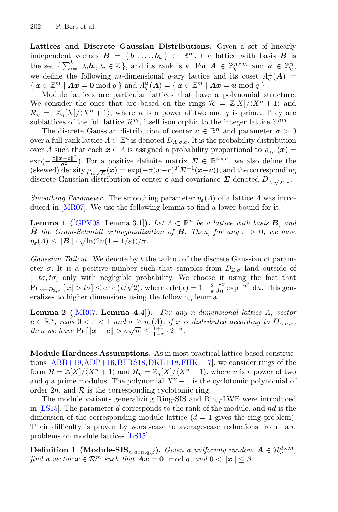**Lattices and Discrete Gaussian Distributions.** Given a set of linearly independent vectors  $\mathbf{B} = \{b_1, \ldots, b_k\} \subset \mathbb{R}^m$ , the lattice with basis *B* is the set  $\{\sum_{i=1}^k \lambda_i \mathbf{b}_i, \lambda_i \in \mathbb{Z}\}\)$ , and its rank is k. For  $\mathbf{A} \in \mathbb{Z}_q^{n \times m}$  and  $\mathbf{u} \in \mathbb{Z}_q^n$ , we define the following m-dimensional q-ary lattice and its coset  $\Lambda_q^{\perp}(A)$  =  $\{ x \in \mathbb{Z}^m \mid Ax = 0 \bmod q \}$  and  $\Lambda_q^u(A) = \{ x \in \mathbb{Z}^m \mid Ax = u \bmod q \}$ .

Module lattices are particular lattices that have a polynomial structure. We consider the ones that are based on the rings  $\mathcal{R} = \mathbb{Z}[X]/\langle X^n + 1 \rangle$  and  $\mathcal{R}_q = \mathbb{Z}_q[X]/\langle X^n + 1 \rangle$ , where *n* is a power of two and *q* is prime. They are sublattices of the full lattice  $\mathcal{R}^m$ , itself isomorphic to the integer lattice  $\mathbb{Z}^{nm}$ .

The discrete Gaussian distribution of center  $c \in \mathbb{R}^n$  and parameter  $\sigma > 0$ over a full-rank lattice  $\Lambda \subset \mathbb{Z}^n$  is denoted  $D_{\Lambda,\sigma,c}$ . It is the probability distribution over *Λ* such that each  $x \in A$  is assigned a probability proportional to  $\rho_{\sigma,c}(x) =$  $\exp(-\frac{\pi ||x-c||^2}{\sigma^2})$ . For a positive definite matrix  $\Sigma \in \mathbb{R}^{n \times n}$ , we also define the (skewed) density  $\rho_{c,\sqrt{\Sigma}}(x) = \exp(-\pi(x-c)^T \Sigma^{-1}(x-c))$ , and the corresponding discrete Gaussian distribution of center *c* and covariance  $\Sigma$  denoted  $D_{A,\sqrt{\Sigma}}$  ,

*Smoothing Parameter.* The smoothing parameter  $\eta_{\varepsilon}(\Lambda)$  of a lattice  $\Lambda$  was introduced in [\[MR07\]](#page-19-12). We use the following lemma to find a lower bound for it.

**Lemma 1** ( $[GPV08, Lemma 3.1]$  $[GPV08, Lemma 3.1]$ ). Let  $A \subset \mathbb{R}^n$  be a lattice with basis **B**, and *B* the Gram-Schmidt orthogonalization of **B**. Then, for any  $\varepsilon > 0$ , we have  $\eta_{\varepsilon}(A) \leq ||\ddot{B}|| \cdot \sqrt{\ln(2n(1+1/\varepsilon))/\pi}.$ 

*Gaussian Tailcut.* We denote by t the tailcut of the discrete Gaussian of parameter  $\sigma$ . It is a positive number such that samples from  $D_{\mathbb{Z},\sigma}$  land outside of  $[-t\sigma, t\sigma]$  only with negligible probability. We choose it using the fact that  $\Pr_{x \leftarrow D_{\mathbb{Z},\sigma}} [|x| > t\sigma] \le \text{erfc} \left( t/\sqrt{2} \right), \text{ where } \text{erfc}(x) = 1 - \frac{2}{\pi} \int_0^x \exp^{-u^2} \, \mathrm{d}u.$  This generalizes to higher dimensions using the following lemma.

**Lemma 2 (**[\[MR07](#page-19-12), **Lemma 4.4]).** *For any* n*-dimensional lattice* Λ*, vector*  $c \in \mathbb{R}^n$ , reals  $0 < \varepsilon < 1$  and  $\sigma \geq \eta_{\varepsilon}(A)$ , if x is distributed according to  $D_{A,\sigma,c}$ , *then we have*  $Pr[\|\mathbf{x} - \mathbf{c}\| > \sigma \sqrt{n}] \leq \frac{1+\varepsilon}{1-\varepsilon} \cdot 2^{-n}$ .

**Module Hardness Assumptions.** As in most practical lattice-based constructions [\[ABB+19](#page-16-0)[,ADP+16,](#page-17-13)[BFRS18,](#page-17-2)[DKL+18](#page-17-10),[FHK+17](#page-18-11)], we consider rings of the form  $\mathcal{R} = \mathbb{Z}[X]/\langle X^n + 1 \rangle$  and  $\mathcal{R}_q = \mathbb{Z}_q[X]/\langle X^n + 1 \rangle$ , where n is a power of two and q a prime modulus. The polynomial  $X<sup>n</sup> + 1$  is the cyclotomic polynomial of order  $2n$ , and  $\mathcal R$  is the corresponding cyclotomic ring.

The module variants generalizing Ring-SIS and Ring-LWE were introduced in [\[LS15](#page-18-1)]. The parameter d corresponds to the rank of the module, and  $nd$  is the dimension of the corresponding module lattice  $(d = 1$  gives the ring problem). Their difficulty is proven by worst-case to average-case reductions from hard problems on module lattices [\[LS15\]](#page-18-1).

**Definition 1** (Module-SIS<sub>n,d,m,q, $\beta$ ). *Given a uniformly random*  $A \in \mathcal{R}_q^{d \times m}$ ,</sub> *find a vector*  $\mathbf{x} \in \mathcal{R}^m$  *such that*  $\mathbf{A}\mathbf{x} = \mathbf{0} \mod q$ , and  $0 < ||\mathbf{x}|| \leq \beta$ .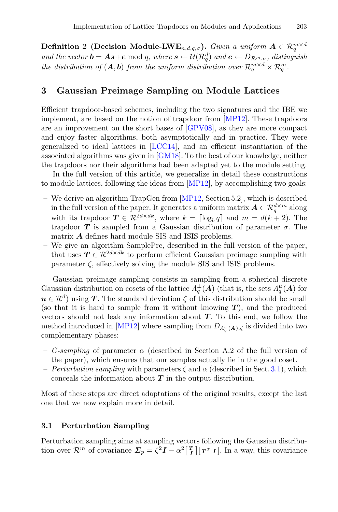**Definition 2** (Decision Module-LWE<sub>n,d,q, $\sigma$ </sub>). *Given a uniform*  $A \in \mathcal{R}_a^{m \times d}$ *and the vector*  $\mathbf{b} = \mathbf{A}\mathbf{s} + \mathbf{e} \bmod q$ , where  $\mathbf{s} \leftarrow \mathcal{U}(\mathcal{R}_q^d)$  and  $\mathbf{e} \leftarrow D_{\mathcal{R}^m, \sigma}$ , distinguish *the distribution of*  $(A, b)$  *from the uniform distribution over*  $\mathcal{R}_q^{m \times d} \times \mathcal{R}_q^m$ .

#### <span id="page-8-0"></span>**3 Gaussian Preimage Sampling on Module Lattices**

Efficient trapdoor-based schemes, including the two signatures and the IBE we implement, are based on the notion of trapdoor from [\[MP12](#page-19-6)]. These trapdoors are an improvement on the short bases of [\[GPV08\]](#page-18-5), as they are more compact and enjoy faster algorithms, both asymptotically and in practice. They were generalized to ideal lattices in [\[LCC14\]](#page-18-13), and an efficient instantiation of the associated algorithms was given in [\[GM18\]](#page-18-4). To the best of our knowledge, neither the trapdoors nor their algorithms had been adapted yet to the module setting.

In the full version of this article, we generalize in detail these constructions to module lattices, following the ideas from [\[MP12](#page-19-6)], by accomplishing two goals:

- We derive an algorithm TrapGen from [\[MP12](#page-19-6), Section 5.2], which is described in the full version of the paper. It generates a uniform matrix  $A \in \mathcal{R}_a^{d \times m}$  along with its trapdoor  $T \in \mathcal{R}^{2d \times dk}$ , where  $k = \lceil \log_b q \rceil$  and  $m = d(k+2)$ . The trapdoor  $T$  is sampled from a Gaussian distribution of parameter  $\sigma$ . The matrix *A* defines hard module SIS and ISIS problems.
- We give an algorithm SamplePre, described in the full version of the paper, that uses  $T \in \mathbb{R}^{2d \times dk}$  to perform efficient Gaussian preimage sampling with parameter  $\zeta$ , effectively solving the module SIS and ISIS problems.

Gaussian preimage sampling consists in sampling from a spherical discrete Gaussian distribution on cosets of the lattice  $\Lambda_q^{\perp}(A)$  (that is, the sets  $\Lambda_q^u(A)$  for  $u \in \mathcal{R}^d$  using *T*. The standard deviation  $\zeta$  of this distribution should be small (so that it is hard to sample from it without knowing *T* ), and the produced vectors should not leak any information about  $T$ . To this end, we follow the method introduced in [\[MP12\]](#page-19-6) where sampling from  $D_{A_q^u(A),\zeta}$  is divided into two complementary phases:

- $-G-sampling$  of parameter  $\alpha$  (described in Section A.2 of the full version of the paper), which ensures that our samples actually lie in the good coset.
- *Perturbation sampling* with parameters  $\zeta$  and  $\alpha$  (described in Sect. [3.1\)](#page-8-1), which conceals the information about *T* in the output distribution.

Most of these steps are direct adaptations of the original results, except the last one that we now explain more in detail.

#### <span id="page-8-1"></span>**3.1 Perturbation Sampling**

Perturbation sampling aims at sampling vectors following the Gaussian distribution over  $\mathcal{R}^m$  of covariance  $\sum_p = \zeta^2 I - \alpha^2 \begin{bmatrix} T \\ I \end{bmatrix} \begin{bmatrix} T^T \\ I \end{bmatrix}$ . In a way, this covariance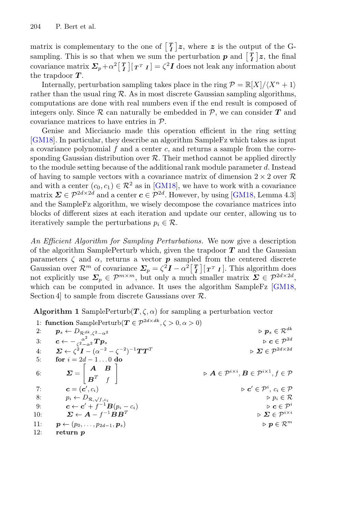matrix is complementary to the one of  $\lfloor T \rfloor z$ , where z is the output of the Gsampling. This is so that when we sum the perturbation  $p$  and  $\lfloor \frac{T}{I} \rfloor z$ , the final covariance matrix  $\Sigma_p + \alpha^2 \begin{bmatrix} T \\ I \end{bmatrix} \begin{bmatrix} T^T \\ I \end{bmatrix} = \zeta^2 I$  does not leak any information about the trapdoor *T* .

Internally, perturbation sampling takes place in the ring  $\mathcal{P} = \mathbb{R}[X]/\langle X^n + 1 \rangle$ rather than the usual ring  $\mathcal R$ . As in most discrete Gaussian sampling algorithms, computations are done with real numbers even if the end result is composed of integers only. Since  $\mathcal R$  can naturally be embedded in  $\mathcal P$ , we can consider  $T$  and covariance matrices to have entries in P.

Genise and Micciancio made this operation efficient in the ring setting [\[GM18](#page-18-4)]. In particular, they describe an algorithm SampleFz which takes as input a covariance polynomial  $f$  and a center  $c$ , and returns a sample from the corresponding Gaussian distribution over  $\mathcal{R}$ . Their method cannot be applied directly to the module setting because of the additional rank module parameter d. Instead of having to sample vectors with a covariance matrix of dimension  $2 \times 2$  over R and with a center  $(c_0, c_1) \in \mathcal{R}^2$  as in [\[GM18\]](#page-18-4), we have to work with a covariance matrix  $\Sigma \in \mathcal{P}^{2d \times 2d}$  and a center  $c \in \mathcal{P}^{2d}$ . However, by using [\[GM18,](#page-18-4) Lemma 4.3] and the SampleFz algorithm, we wisely decompose the covariance matrices into blocks of different sizes at each iteration and update our center, allowing us to iteratively sample the perturbations  $p_i \in \mathcal{R}$ .

*An Efficient Algorithm for Sampling Perturbations.* We now give a description of the algorithm SamplePerturb which, given the trapdoor *T* and the Gaussian parameters  $\zeta$  and  $\alpha$ , returns a vector **p** sampled from the centered discrete Gaussian over  $\mathcal{R}^m$  of covariance  $\sum_p = \zeta^2 I - \alpha^2 \begin{bmatrix} T \\ I \end{bmatrix} \begin{bmatrix} T^T I \end{bmatrix}$ . This algorithm does not explicitly use  $\Sigma_p \in \mathcal{P}^{m \times m}$ , but only a much smaller matrix  $\Sigma \in \mathcal{P}^{2d \times 2d}$ , which can be computed in advance. It uses the algorithm SampleFz [\[GM18](#page-18-4), Section 4 to sample from discrete Gaussians over  $\mathcal{R}$ .

Algorithm 1 SamplePerturb $(T, \zeta, \alpha)$  for sampling a perturbation vector

|     | 1: function SamplePerturb $(T \in \mathcal{P}^{2a \times a\kappa}, \zeta > 0, \alpha > 0)$                                     |                                                                                                            |
|-----|--------------------------------------------------------------------------------------------------------------------------------|------------------------------------------------------------------------------------------------------------|
| 2:  | $\boldsymbol{p}_s \leftarrow D_{\mathcal{R}^{dk},\zeta^2-\alpha^2}$                                                            | $\triangleright {\mathbf{p}}_s \in \mathcal{R}^{dk}$                                                       |
| 3:  | $\boldsymbol{c} \leftarrow -\frac{\alpha^2}{\epsilon^2-\alpha^2} \boldsymbol{T} \boldsymbol{p}_s$                              | $\triangleright \textbf{c} \in \mathcal{P}^{2d}$                                                           |
| 4:  | $\boldsymbol{\Sigma} \leftarrow \zeta^2 \boldsymbol{I} - (\alpha^{-2} - \zeta^{-2})^{-1} \boldsymbol{T} \boldsymbol{T}^T$      | $\triangleright$ $\boldsymbol{\Sigma} \in \mathcal{P}^{2d \times 2d}$                                      |
| 5:  | for $i = 2d - 10$ do                                                                                                           |                                                                                                            |
| 6:  | $\boldsymbol{\Sigma} = \left  \begin{array}{cc} \boldsymbol{A} & \boldsymbol{B} \\ \boldsymbol{B}^T & f \end{array} \right  .$ | $\triangleright$ $A \in \mathcal{P}^{i \times i}$ , $B \in \mathcal{P}^{i \times 1}$ , $f \in \mathcal{P}$ |
| 7:  | $\mathbf{c} = (\mathbf{c}', c_i)$                                                                                              | $\triangleright \mathbf{c}' \in \mathcal{P}^i, c_i \in \mathcal{P}$                                        |
| 8:  | $p_i \leftarrow D_{\mathcal{R}, \sqrt{f}, c_i}$                                                                                | $\triangleright p_i \in \mathcal{R}$                                                                       |
| 9:  | $\mathbf{c} \leftarrow \mathbf{c}' + f^{-1} \mathbf{B}(p_i - c_i)$                                                             | $\triangleright$ $\mathbf{c} \in \mathcal{P}^i$                                                            |
| 10: | $\boldsymbol{\Sigma} \leftarrow \boldsymbol{A} - f^{-1} \boldsymbol{B} \boldsymbol{B}^T$                                       | $\triangleright$ $\boldsymbol{\Sigma} \in \mathcal{P}^{i \times i}$                                        |
| 11: | $\boldsymbol{p} \leftarrow (p_0, \ldots, p_{2d-1}, \boldsymbol{p}_s)$                                                          | $\triangleright$ $\boldsymbol{p} \in \mathcal{R}^m$                                                        |
| 12: | return p                                                                                                                       |                                                                                                            |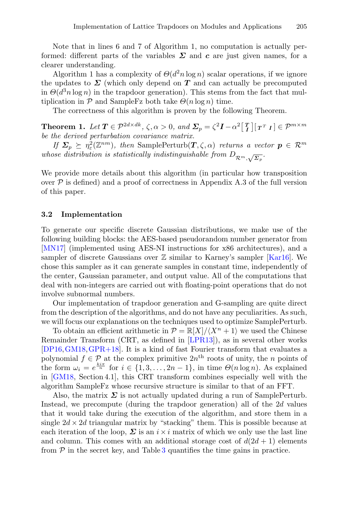Note that in lines 6 and 7 of Algorithm 1, no computation is actually performed: different parts of the variables  $\Sigma$  and  $c$  are just given names, for a clearer understanding.

Algorithm 1 has a complexity of  $\Theta(d^2 n \log n)$  scalar operations, if we ignore the updates to  $\Sigma$  (which only depend on  $T$  and can actually be precomputed in  $\Theta(d^3n \log n)$  in the trapdoor generation). This stems from the fact that multiplication in  $P$  and SampleFz both take  $\Theta(n \log n)$  time.

The correctness of this algorithm is proven by the following Theorem.

**Theorem 1.** Let  $T \in \mathcal{P}^{2d \times dk}$ ,  $\zeta, \alpha > 0$ , and  $\mathcal{L}_p = \zeta^2 \mathbf{I} - \alpha^2 \begin{bmatrix} T \\ I \end{bmatrix} \begin{bmatrix} T^T & I \end{bmatrix} \in \mathcal{P}^{m \times m}$ *be the derived perturbation covariance matrix.*

*If*  $\Sigma_p \succeq \eta_\varepsilon^2(\mathbb{Z}^{nm})$ , then SamplePerturb $(T, \zeta, \alpha)$  *returns a vector*  $p \in \mathcal{R}^m$ *whose distribution is statistically indistinguishable from*  $D_{\mathcal{R}^m,\sqrt{\Sigma_p}}$ .

We provide more details about this algorithm (in particular how transposition over  $P$  is defined) and a proof of correctness in Appendix A.3 of the full version of this paper.

#### <span id="page-10-0"></span>**3.2 Implementation**

To generate our specific discrete Gaussian distributions, we make use of the following building blocks: the AES-based pseudorandom number generator from [\[MN17\]](#page-19-13) (implemented using AES-NI instructions for x86 architectures), and a sampler of discrete Gaussians over  $\mathbb Z$  similar to Karney's sampler [\[Kar16](#page-18-3)]. We chose this sampler as it can generate samples in constant time, independently of the center, Gaussian parameter, and output value. All of the computations that deal with non-integers are carried out with floating-point operations that do not involve subnormal numbers.

Our implementation of trapdoor generation and G-sampling are quite direct from the description of the algorithms, and do not have any peculiarities. As such, we will focus our explanations on the techniques used to optimize SamplePerturb.

To obtain an efficient arithmetic in  $\mathcal{P} = \mathbb{R}[X]/\langle X^n + 1 \rangle$  we used the Chinese Remainder Transform (CRT, as defined in [\[LPR13\]](#page-18-14)), as in several other works [\[DP16](#page-17-5)[,GM18](#page-18-4)[,GPR+18\]](#page-18-9). It is a kind of fast Fourier transform that evaluates a polynomial  $f \in \mathcal{P}$  at the complex primitive  $2n^{\text{th}}$  roots of unity, the *n* points of the form  $\omega_i = e^{\frac{ki\pi}{n}}$  for  $i \in \{1, 3, ..., 2n-1\}$ , in time  $\Theta(n \log n)$ . As explained in [\[GM18,](#page-18-4) Section 4.1], this CRT transform combines especially well with the algorithm SampleFz whose recursive structure is similar to that of an FFT.

Also, the matrix  $\Sigma$  is not actually updated during a run of SamplePerturb. Instead, we precompute (during the trapdoor generation) all of the 2d values that it would take during the execution of the algorithm, and store them in a single  $2d \times 2d$  triangular matrix by "stacking" them. This is possible because at each iteration of the loop,  $\Sigma$  is an  $i \times i$  matrix of which we only use the last line and column. This comes with an additional storage cost of  $d(2d + 1)$  elements from  $P$  in the secret key, and Table [3](#page-11-0) quantifies the time gains in practice.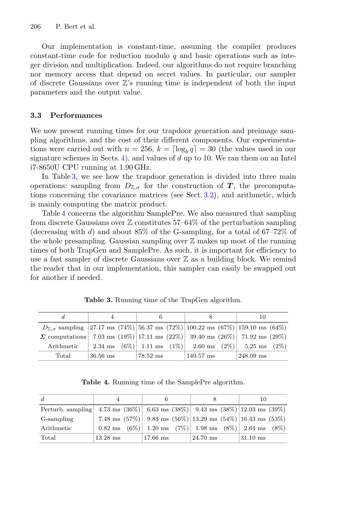Our implementation is constant-time, assuming the compiler produces constant-time code for reduction modulo q and basic operations such as integer division and multiplication. Indeed, our algorithms do not require branching nor memory access that depend on secret values. In particular, our sampler of discrete Gaussians over  $\mathbb{Z}'$ 's running time is independent of both the input parameters and the output value.

## **3.3 Performances**

We now present running times for our trapdoor generation and preimage sampling algorithms, and the cost of their different components. Our experimentations were carried out with  $n = 256$ ,  $k = \lceil \log_b q \rceil = 30$  (the values used in our signature schemes in Sects. [4\)](#page-12-0), and values of  $d$  up to 10. We ran them on an Intel i7-8650U CPU running at 1.90 GHz.

In Table [3,](#page-11-0) we see how the trapdoor generation is divided into three main operations: sampling from  $D_{\mathbb{Z},\sigma}$  for the construction of *T*, the precomputations concerning the covariance matrices (see Sect. [3.2\)](#page-10-0), and arithmetic, which is mainly computing the matrix product.

Table [4](#page-11-1) concerns the algorithm SamplePre. We also measured that sampling from discrete Gaussians over  $\mathbb Z$  constitutes 57–64% of the perturbation sampling (decreasing with d) and about  $85\%$  of the G-sampling, for a total of  $67-72\%$  of the whole presampling. Gaussian sampling over  $\mathbb Z$  makes up most of the running times of both TrapGen and SamplePre. As such, it is important for efficiency to use a fast sampler of discrete Gaussians over  $\mathbb Z$  as a building block. We remind the reader that in our implementation, this sampler can easily be swapped out for another if needed.

|                                                                                                 |                                                                 |            |                     | 10        |  |
|-------------------------------------------------------------------------------------------------|-----------------------------------------------------------------|------------|---------------------|-----------|--|
| $D_{\mathbb{Z}, \sigma}$ sampling 27.17 ms (74%) 56.37 ms (72%) 100.22 ms (67%) 159.10 ms (64%) |                                                                 |            |                     |           |  |
| $\Sigma$ computations 7.03 ms (19%) 17.11 ms (22%) 39.40 ms (26%) 71.92 ms (29%)                |                                                                 |            |                     |           |  |
| Arithmetic                                                                                      | 2.34 ms $(6\%)$ 1.11 ms $(1\%)$ 2.60 ms $(2\%)$ 5.25 ms $(2\%)$ |            |                     |           |  |
| Total                                                                                           | $36.56 \text{ ms}$                                              | $78.52$ ms | $149.57 \text{ ms}$ | 248.09 ms |  |
|                                                                                                 |                                                                 |            |                     |           |  |

<span id="page-11-0"></span>**Table 3.** Running time of the TrapGen algorithm.

<span id="page-11-1"></span>**Table 4.** Running time of the SamplePre algorithm.

| d                                                                          |                                                                           | 6          |            |  |            | 10 |  |
|----------------------------------------------------------------------------|---------------------------------------------------------------------------|------------|------------|--|------------|----|--|
| Perturb. sampling 4.73 ms (36%) 6.63 ms (38%) 9.43 ms (38%) 12.03 ms (39%) |                                                                           |            |            |  |            |    |  |
| G-sampling                                                                 | 7.48 ms $(57\%)$ 9.83 ms $(56\%)$ 13.29 ms $(54\%)$ 16.43 ms $(53\%)$     |            |            |  |            |    |  |
| Arithmetic                                                                 | $0.82 \text{ ms}$ $(6\%)$ 1.20 ms $(7\%)$ 1.98 ms $(8\%)$ 2.64 ms $(8\%)$ |            |            |  |            |    |  |
| Total                                                                      | $13.28$ ms                                                                | $17.66$ ms | $24.70$ ms |  | $31.10$ ms |    |  |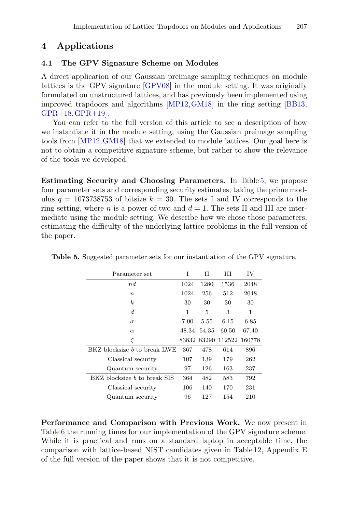# <span id="page-12-0"></span>**4 Applications**

## <span id="page-12-2"></span>**4.1 The GPV Signature Scheme on Modules**

A direct application of our Gaussian preimage sampling techniques on module lattices is the GPV signature [\[GPV08\]](#page-18-5) in the module setting. It was originally formulated on unstructured lattices, and has previously been implemented using improved trapdoors and algorithms [\[MP12,](#page-19-6)[GM18\]](#page-18-4) in the ring setting [\[BB13,](#page-17-3) [GPR+18](#page-18-9),[GPR+19\]](#page-18-10).

You can refer to the full version of this article to see a description of how we instantiate it in the module setting, using the Gaussian preimage sampling tools from [\[MP12,](#page-19-6)[GM18\]](#page-18-4) that we extended to module lattices. Our goal here is not to obtain a competitive signature scheme, but rather to show the relevance of the tools we developed.

**Estimating Security and Choosing Parameters.** In Table [5,](#page-12-1) we propose four parameter sets and corresponding security estimates, taking the prime modulus  $q = 1073738753$  of bitsize  $k = 30$ . The sets I and IV corresponds to the ring setting, where n is a power of two and  $d = 1$ . The sets II and III are intermediate using the module setting. We describe how we chose those parameters, estimating the difficulty of the underlying lattice problems in the full version of the paper.

<span id="page-12-1"></span>

| Parameter set                       | T     | Н     | Ш     | ΙV            |
|-------------------------------------|-------|-------|-------|---------------|
| nd                                  | 1024  | 1280  | 1536  | 2048          |
| $\boldsymbol{n}$                    | 1024  | 256   | 512   | 2048          |
| $\boldsymbol{k}$                    | 30    | 30    | 30    | 30            |
| d                                   | 1     | 5     | 3     | 1             |
| $\sigma$                            | 7.00  | 5.55  | 6.15  | 6.85          |
| $\alpha$                            | 48.34 | 54.35 | 60.50 | 67.40         |
| ζ                                   | 83832 | 83290 |       | 112522 160778 |
| BKZ blocksize <i>b</i> to break LWE | 367   | 478   | 614   | 896           |
| Classical security                  | 107   | 139   | 179   | 262           |
| Quantum security                    | 97    | 126   | 163   | 237           |
| BKZ blocksize <i>b</i> to break SIS | 364   | 482   | 583   | 792           |
| Classical security                  | 106   | 140   | 170   | 231           |
| Quantum security                    | 96    | 127   | 154   | 210           |

**Table 5.** Suggested parameter sets for our instantiation of the GPV signature.

**Performance and Comparison with Previous Work.** We now present in Table [6](#page-13-0) the running times for our implementation of the GPV signature scheme. While it is practical and runs on a standard laptop in acceptable time, the comparison with lattice-based NIST candidates given in Table 12, Appendix E of the full version of the paper shows that it is not competitive.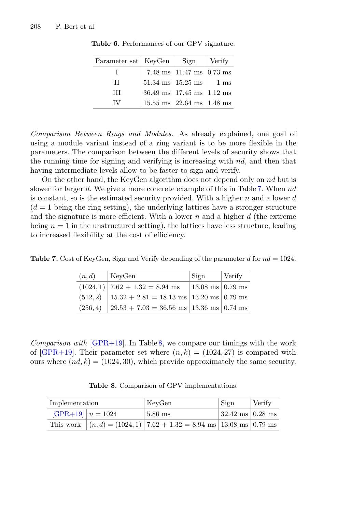| Parameter set   KeyGen | Sign                                          | Verify |
|------------------------|-----------------------------------------------|--------|
|                        | 7.48 ms $ 11.47 \text{ ms}  0.73 \text{ ms}$  |        |
| Н                      | $51.34 \text{ ms} \mid 15.25 \text{ ms} \mid$ | 1 ms   |
| HН                     | $36.49$ ms   17.45 ms   1.12 ms               |        |
| TV                     | $15.55$ ms $\vert$ 22.64 ms $\vert$ 1.48 ms   |        |

<span id="page-13-0"></span>**Table 6.** Performances of our GPV signature.

*Comparison Between Rings and Modules.* As already explained, one goal of using a module variant instead of a ring variant is to be more flexible in the parameters. The comparison between the different levels of security shows that the running time for signing and verifying is increasing with nd, and then that having intermediate levels allow to be faster to sign and verify.

On the other hand, the KeyGen algorithm does not depend only on nd but is slower for larger d. We give a more concrete example of this in Table [7.](#page-13-1) When nd is constant, so is the estimated security provided. With a higher  $n$  and a lower  $d$  $(d = 1)$  being the ring setting), the underlying lattices have a stronger structure and the signature is more efficient. With a lower  $n$  and a higher  $d$  (the extreme being  $n = 1$  in the unstructured setting), the lattices have less structure, leading to increased flexibility at the cost of efficiency.

**Table 7.** Cost of KeyGen, Sign and Verify depending of the parameter d for  $nd = 1024$ .

<span id="page-13-1"></span>

| (n,d)    | KeyGen                                         | Sign                       | Verify |
|----------|------------------------------------------------|----------------------------|--------|
|          | $(1024, 1)$ 7.62 + 1.32 = 8.94 ms              | $13.08$ ms $\vert 0.79$ ms |        |
| (512, 2) | $15.32 + 2.81 = 18.13$ ms   13.20 ms   0.79 ms |                            |        |
| (256, 4) | $29.53 + 7.03 = 36.56$ ms   13.36 ms   0.74 ms |                            |        |

*Comparison with* [\[GPR+19](#page-18-10)]. In Table [8,](#page-13-2) we compare our timings with the work of [\[GPR+19\]](#page-18-10). Their parameter set where  $(n, k) = (1024, 27)$  is compared with ours where  $(nd, k) = (1024, 30)$ , which provide approximately the same security.

<span id="page-13-2"></span>**Table 8.** Comparison of GPV implementations.

| Implementation        | KeyGen                                                                           | Sign                       | Verify |
|-----------------------|----------------------------------------------------------------------------------|----------------------------|--------|
| $ GPR+19 $ $n = 1024$ | $5.86$ ms                                                                        | $32.42 \text{ ms}$ 0.28 ms |        |
|                       | This work $ (n, d) = (1024, 1)   7.62 + 1.32 = 8.94$ ms $  13.08$ ms $  0.79$ ms |                            |        |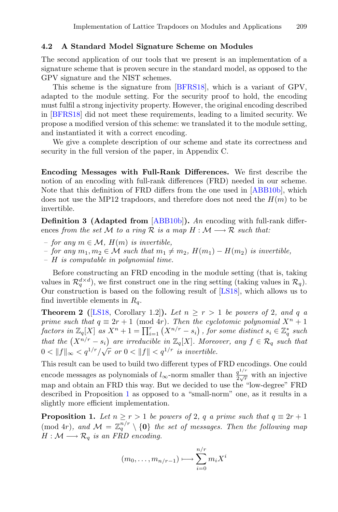#### **4.2 A Standard Model Signature Scheme on Modules**

The second application of our tools that we present is an implementation of a signature scheme that is proven secure in the standard model, as opposed to the GPV signature and the NIST schemes.

This scheme is the signature from [\[BFRS18](#page-17-2)], which is a variant of GPV, adapted to the module setting. For the security proof to hold, the encoding must fulfil a strong injectivity property. However, the original encoding described in [\[BFRS18](#page-17-2)] did not meet these requirements, leading to a limited security. We propose a modified version of this scheme: we translated it to the module setting, and instantiated it with a correct encoding.

We give a complete description of our scheme and state its correctness and security in the full version of the paper, in Appendix C.

**Encoding Messages with Full-Rank Differences.** We first describe the notion of an encoding with full-rank differences (FRD) needed in our scheme. Note that this definition of FRD differs from the one used in [\[ABB10b](#page-17-1)], which does not use the MP12 trapdoors, and therefore does not need the  $H(m)$  to be invertible.

**Definition 3 (Adapted from** [\[ABB10b](#page-17-1)]**).** *An* encoding with full-rank differences *from the set* M *to a ring* R *is a map*  $H : \mathcal{M} \longrightarrow \mathcal{R}$  *such that:* 

- *for any* <sup>m</sup> ∈ M*,* <sup>H</sup>(m) *is invertible,*
- *for any*  $m_1, m_2 \in \mathcal{M}$  *such that*  $m_1 ≠ m_2$ ,  $H(m_1) H(m_2)$  *is invertible,*
- *–* H *is computable in polynomial time.*

Before constructing an FRD encoding in the module setting (that is, taking values in  $\mathcal{R}_q^{d \times d}$ ), we first construct one in the ring setting (taking values in  $\mathcal{R}_q$ ). Our construction is based on the following result of [\[LS18](#page-19-11)], which allows us to find invertible elements in  $R_q$ .

**Theorem 2** ([\[LS18,](#page-19-11) Corollary 1.2]). Let  $n \geq r > 1$  be powers of 2*, and q a prime such that*  $q \equiv 2r + 1 \pmod{4r}$ *. Then the cyclotomic polynomial*  $X^n + 1$  $factors in \mathbb{Z}_q[X]$  *as*  $X^n + 1 = \prod_{i=1}^r (X^{n/r} - s_i)$ , for some distinct  $s_i \in \mathbb{Z}_q^*$  such *that the*  $(X^{n/r} - s_i)$  are irreducible in  $\mathbb{Z}_q[X]$ *. Moreover, any*  $f \in \mathcal{R}_q$  *such that*  $0 < ||f||_{\infty} < q^{1/r}/\sqrt{r}$  or  $0 < ||f|| < q^{1/r}$  is invertible.

This result can be used to build two different types of FRD encodings. One could encode messages as polynomials of  $l_{\infty}$ -norm smaller than  $\frac{q^{1/r}}{2\sqrt{r}}$  with an injective map and obtain an FRD this way. But we decided to use the "low-degree" FRD described in Proposition [1](#page-14-0) as opposed to a "small-norm" one, as it results in a slightly more efficient implementation.

<span id="page-14-0"></span>**Proposition 1.** *Let*  $n \geq r > 1$  *be powers of* 2*,* q *a prime such that*  $q \equiv 2r + 1$ (mod 4r)*, and*  $M = \mathbb{Z}_q^{n/r} \setminus \{0\}$  *the set of messages. Then the following map*  $H : \mathcal{M} \longrightarrow \mathcal{R}_q$  is an FRD encoding.

$$
(m_0, \ldots, m_{n/r-1}) \longmapsto \sum_{i=0}^{n/r} m_i X^i
$$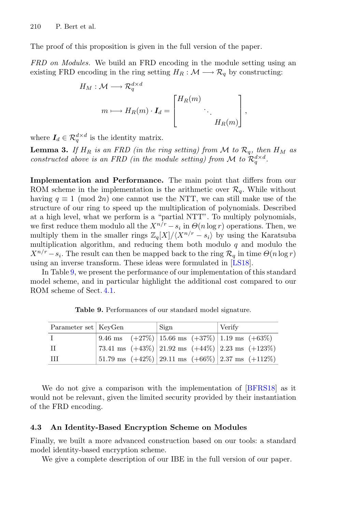The proof of this proposition is given in the full version of the paper.

*FRD on Modules.* We build an FRD encoding in the module setting using an existing FRD encoding in the ring setting  $H_R : \mathcal{M} \longrightarrow \mathcal{R}_q$  by constructing:

$$
H_M: \mathcal{M} \longrightarrow \mathcal{R}_q^{d \times d}
$$
  
\n
$$
m \longmapsto H_R(m) \cdot I_d = \begin{bmatrix} H_R(m) & & \\ & \ddots & \\ & & H_R(m) \end{bmatrix},
$$

where  $I_d \in \mathcal{R}_a^{d \times d}$  is the identity matrix.

**Lemma 3.** If  $H_R$  is an FRD (in the ring setting) from M to  $\mathcal{R}_q$ , then  $H_M$  as *constructed above is an FRD (in the module setting) from*  $\mathcal{M}$  to  $\mathcal{R}_a^{d \times d}$ .

**Implementation and Performance.** The main point that differs from our ROM scheme in the implementation is the arithmetic over  $\mathcal{R}_q$ . While without having  $q \equiv 1 \pmod{2n}$  one cannot use the NTT, we can still make use of the structure of our ring to speed up the multiplication of polynomials. Described at a high level, what we perform is a "partial NTT". To multiply polynomials, we first reduce them modulo all the  $X^{n/r} - s_i$  in  $\Theta(n \log r)$  operations. Then, we multiply them in the smaller rings  $\mathbb{Z}_q[X]/\langle X^{n/r} - s_i \rangle$  by using the Karatsuba multiplication algorithm, and reducing them both modulo  $q$  and modulo the  $X^{n/r} - s_i$ . The result can then be mapped back to the ring  $\mathcal{R}_q$  in time  $\Theta(n \log r)$ using an inverse transform. These ideas were formulated in [\[LS18](#page-19-11)].

In Table [9,](#page-15-0) we present the performance of our implementation of this standard model scheme, and in particular highlight the additional cost compared to our ROM scheme of Sect. [4.1.](#page-12-2)

| Parameter set   KeyGen |  | Sign                                                                                                          | Verify |  |
|------------------------|--|---------------------------------------------------------------------------------------------------------------|--------|--|
| -1                     |  | $\left  9.46 \text{ ms} \right $ (+27%) 15.66 ms (+37%) 1.19 ms (+63%)                                        |        |  |
| - TT                   |  | $\left  73.41 \text{ ms } (+43\%) \right  21.92 \text{ ms } (+44\%) \left  2.23 \text{ ms } (+123\%) \right $ |        |  |
| - III                  |  | $\left[51.79 \text{ ms } (+42\%) \right] 29.11 \text{ ms } (+66\%) \left[2.37 \text{ ms } (+112\%) \right]$   |        |  |

<span id="page-15-0"></span>**Table 9.** Performances of our standard model signature.

We do not give a comparison with the implementation of [\[BFRS18\]](#page-17-2) as it would not be relevant, given the limited security provided by their instantiation of the FRD encoding.

#### **4.3 An Identity-Based Encryption Scheme on Modules**

Finally, we built a more advanced construction based on our tools: a standard model identity-based encryption scheme.

We give a complete description of our IBE in the full version of our paper.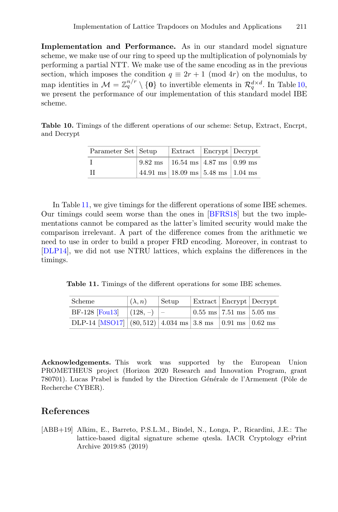**Implementation and Performance.** As in our standard model signature scheme, we make use of our ring to speed up the multiplication of polynomials by performing a partial NTT. We make use of the same encoding as in the previous section, which imposes the condition  $q \equiv 2r + 1 \pmod{4r}$  on the modulus, to map identities in  $\mathcal{M} = \mathbb{Z}_q^{n/r} \setminus \{0\}$  to invertible elements in  $\mathcal{R}_q^{d \times d}$ . In Table [10,](#page-16-1) we present the performance of our implementation of this standard model IBE scheme.

**Table 10.** Timings of the different operations of our scheme: Setup, Extract, Encrpt, and Decrypt

<span id="page-16-1"></span>

| Parameter Set   Setup | Extract   Encrypt   Decrypt                                                                |  |
|-----------------------|--------------------------------------------------------------------------------------------|--|
|                       | $\vert 9.82 \text{ ms} \vert 16.54 \text{ ms} \vert 4.87 \text{ ms} \vert 0.99 \text{ ms}$ |  |
| - TT                  | 44.91 ms   18.09 ms   5.48 ms   1.04 ms                                                    |  |

In Table [11,](#page-16-2) we give timings for the different operations of some IBE schemes. Our timings could seem worse than the ones in [\[BFRS18\]](#page-17-2) but the two implementations cannot be compared as the latter's limited security would make the comparison irrelevant. A part of the difference comes from the arithmetic we need to use in order to build a proper FRD encoding. Moreover, in contrast to [\[DLP14\]](#page-17-9), we did not use NTRU lattices, which explains the differences in the timings.

<span id="page-16-2"></span>**Table 11.** Timings of the different operations for some IBE schemes.

| Scheme                                                                                      | $(\lambda, n)$ | Setup | Extract   Encrypt   Decrypt                                         |  |
|---------------------------------------------------------------------------------------------|----------------|-------|---------------------------------------------------------------------|--|
| BF-128 [Fou13] $ (128, -)  -$                                                               |                |       | $\vert 0.55 \text{ ms} \vert 7.51 \text{ ms} \vert 5.05 \text{ ms}$ |  |
| DLP-14 [MSO17] $ (80,512) 4.034 \text{ ms} 3.8 \text{ ms}  0.91 \text{ ms} 0.62 \text{ ms}$ |                |       |                                                                     |  |

**Acknowledgements.** This work was supported by the European Union PROMETHEUS project (Horizon 2020 Research and Innovation Program, grant 780701). Lucas Prabel is funded by the Direction Générale de l'Armement (Pôle de Recherche CYBER).

# **References**

<span id="page-16-0"></span>[ABB+19] Alkim, E., Barreto, P.S.L.M., Bindel, N., Longa, P., Ricardini, J.E.: The lattice-based digital signature scheme qtesla. IACR Cryptology ePrint Archive 2019:85 (2019)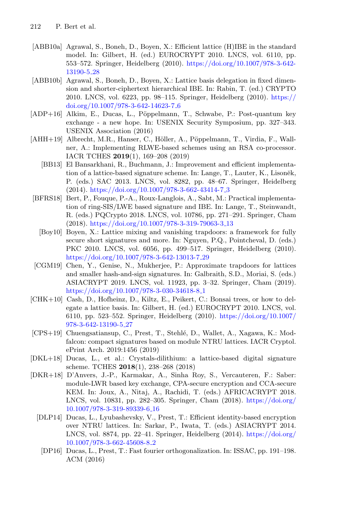- <span id="page-17-8"></span>[ABB10a] Agrawal, S., Boneh, D., Boyen, X.: Efficient lattice (H)IBE in the standard model. In: Gilbert, H. (ed.) EUROCRYPT 2010. LNCS, vol. 6110, pp. 553–572. Springer, Heidelberg (2010). [https://doi.org/10.1007/978-3-642-](https://doi.org/10.1007/978-3-642-13190-5_28) [13190-5](https://doi.org/10.1007/978-3-642-13190-5_28) 28
- <span id="page-17-1"></span>[ABB10b] Agrawal, S., Boneh, D., Boyen, X.: Lattice basis delegation in fixed dimension and shorter-ciphertext hierarchical IBE. In: Rabin, T. (ed.) CRYPTO 2010. LNCS, vol. 6223, pp. 98–115. Springer, Heidelberg (2010). [https://](https://doi.org/10.1007/978-3-642-14623-7_6) [doi.org/10.1007/978-3-642-14623-7](https://doi.org/10.1007/978-3-642-14623-7_6) 6
- <span id="page-17-13"></span>[ADP+16] Alkim, E., Ducas, L., Pöppelmann, T., Schwabe, P.: Post-quantum key exchange - a new hope. In: USENIX Security Symposium, pp. 327–343. USENIX Association (2016)
- <span id="page-17-3"></span><span id="page-17-0"></span>[AHH+19] Albrecht, M.R., Hanser, C., Höller, A., Pöppelmann, T., Virdia, F., Wallner, A.: Implementing RLWE-based schemes using an RSA co-processor. IACR TCHES **2019**(1), 169–208 (2019)
	- [BB13] El Bansarkhani, R., Buchmann, J.: Improvement and efficient implementation of a lattice-based signature scheme. In: Lange, T., Lauter, K., Lisoněk, P. (eds.) SAC 2013. LNCS, vol. 8282, pp. 48–67. Springer, Heidelberg (2014). [https://doi.org/10.1007/978-3-662-43414-7](https://doi.org/10.1007/978-3-662-43414-7_3) 3
- <span id="page-17-7"></span><span id="page-17-2"></span>[BFRS18] Bert, P., Fouque, P.-A., Roux-Langlois, A., Sabt, M.: Practical implementation of ring-SIS/LWE based signature and IBE. In: Lange, T., Steinwandt, R. (eds.) PQCrypto 2018. LNCS, vol. 10786, pp. 271–291. Springer, Cham (2018). [https://doi.org/10.1007/978-3-319-79063-3](https://doi.org/10.1007/978-3-319-79063-3_13) 13
	- [Boy10] Boyen, X.: Lattice mixing and vanishing trapdoors: a framework for fully secure short signatures and more. In: Nguyen, P.Q., Pointcheval, D. (eds.) PKC 2010. LNCS, vol. 6056, pp. 499–517. Springer, Heidelberg (2010). [https://doi.org/10.1007/978-3-642-13013-7](https://doi.org/10.1007/978-3-642-13013-7_29) 29
- <span id="page-17-4"></span>[CGM19] Chen, Y., Genise, N., Mukherjee, P.: Approximate trapdoors for lattices and smaller hash-and-sign signatures. In: Galbraith, S.D., Moriai, S. (eds.) ASIACRYPT 2019. LNCS, vol. 11923, pp. 3–32. Springer, Cham (2019). [https://doi.org/10.1007/978-3-030-34618-8](https://doi.org/10.1007/978-3-030-34618-8_1)<sub>-1</sub>
- <span id="page-17-6"></span>[CHK+10] Cash, D., Hofheinz, D., Kiltz, E., Peikert, C.: Bonsai trees, or how to delegate a lattice basis. In: Gilbert, H. (ed.) EUROCRYPT 2010. LNCS, vol. 6110, pp. 523–552. Springer, Heidelberg (2010). [https://doi.org/10.1007/](https://doi.org/10.1007/978-3-642-13190-5_27) [978-3-642-13190-5](https://doi.org/10.1007/978-3-642-13190-5_27) 27
- <span id="page-17-12"></span>[CPS+19] Chuengsatiansup, C., Prest, T., Stehlé, D., Wallet, A., Xagawa, K.: Modfalcon: compact signatures based on module NTRU lattices. IACR Cryptol. ePrint Arch. 2019:1456 (2019)
- <span id="page-17-10"></span>[DKL+18] Ducas, L., et al.: Crystals-dilithium: a lattice-based digital signature scheme. TCHES **2018**(1), 238–268 (2018)
- <span id="page-17-11"></span><span id="page-17-9"></span><span id="page-17-5"></span>[DKR+18] D'Anvers, J.-P., Karmakar, A., Sinha Roy, S., Vercauteren, F.: Saber: module-LWR based key exchange, CPA-secure encryption and CCA-secure KEM. In: Joux, A., Nitaj, A., Rachidi, T. (eds.) AFRICACRYPT 2018. LNCS, vol. 10831, pp. 282–305. Springer, Cham (2018). [https://doi.org/](https://doi.org/10.1007/978-3-319-89339-6_16) [10.1007/978-3-319-89339-6](https://doi.org/10.1007/978-3-319-89339-6_16) 16
	- [DLP14] Ducas, L., Lyubashevsky, V., Prest, T.: Efficient identity-based encryption over NTRU lattices. In: Sarkar, P., Iwata, T. (eds.) ASIACRYPT 2014. LNCS, vol. 8874, pp. 22–41. Springer, Heidelberg (2014). [https://doi.org/](https://doi.org/10.1007/978-3-662-45608-8_2) [10.1007/978-3-662-45608-8](https://doi.org/10.1007/978-3-662-45608-8_2) 2
		- [DP16] Ducas, L., Prest, T.: Fast fourier orthogonalization. In: ISSAC, pp. 191–198. ACM (2016)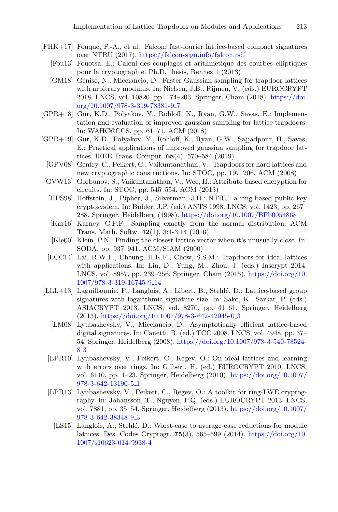- <span id="page-18-15"></span><span id="page-18-11"></span><span id="page-18-4"></span>[FHK+17] Fouque, P.-A., et al.: Falcon: fast-fourier lattice-based compact signatures over NTRU (2017). <https://falcon-sign.info/falcon.pdf>
	- [Fou13] Fouotsa, E.: Calcul des couplages et arithmetique des courbes elliptiques pour la cryptographie. Ph.D. thesis, Rennes 1 (2013)
	- [GM18] Genise, N., Micciancio, D.: Faster Gaussian sampling for trapdoor lattices with arbitrary modulus. In: Nielsen, J.B., Rijmen, V. (eds.) EUROCRYPT 2018. LNCS, vol. 10820, pp. 174–203. Springer, Cham (2018). [https://doi.](https://doi.org/10.1007/978-3-319-78381-9_7) [org/10.1007/978-3-319-78381-9](https://doi.org/10.1007/978-3-319-78381-9_7) 7
- <span id="page-18-9"></span>[GPR+18] Gür, K.D., Polyakov, Y., Rohloff, K., Ryan, G.W., Savas, E.: Implementation and evaluation of improved gaussian sampling for lattice trapdoors. In: WAHC@CCS, pp. 61–71. ACM (2018)
- <span id="page-18-10"></span>[GPR+19] Gür, K.D., Polyakov, Y., Rohloff, K., Ryan, G.W., Sajjadpour, H., Savas, E.: Practical applications of improved gaussian sampling for trapdoor lattices. IEEE Trans. Comput. **68**(4), 570–584 (2019)
	- [GPV08] Gentry, C., Peikert, C., Vaikuntanathan, V.: Trapdoors for hard lattices and new cryptographic constructions. In: STOC, pp. 197–206. ACM (2008)
- <span id="page-18-6"></span><span id="page-18-5"></span><span id="page-18-3"></span><span id="page-18-2"></span>[GVW13] Gorbunov, S., Vaikuntanathan, V., Wee, H.: Attribute-based encryption for circuits. In: STOC, pp. 545–554. ACM (2013)
	- [HPS98] Hoffstein, J., Pipher, J., Silverman, J.H.: NTRU: a ring-based public key cryptosystem. In: Buhler, J.P. (ed.) ANTS 1998. LNCS, vol. 1423, pp. 267– 288. Springer, Heidelberg (1998). <https://doi.org/10.1007/BFb0054868>
	- [Kar16] Karney, C.F.F.: Sampling exactly from the normal distribution. ACM Trans. Math. Softw. **42**(1), 3:1-3:14 (2016)
	- [Kle00] Klein, P.N.: Finding the closest lattice vector when it's unusually close. In: SODA, pp. 937–941. ACM/SIAM (2000)
	- [LCC14] Lai, R.W.F., Cheung, H.K.F., Chow, S.S.M.: Trapdoors for ideal lattices with applications. In: Lin, D., Yung, M., Zhou, J. (eds.) Inscrypt 2014. LNCS, vol. 8957, pp. 239–256. Springer, Cham (2015). [https://doi.org/10.](https://doi.org/10.1007/978-3-319-16745-9_14) [1007/978-3-319-16745-9](https://doi.org/10.1007/978-3-319-16745-9_14) 14
- <span id="page-18-14"></span><span id="page-18-13"></span><span id="page-18-12"></span><span id="page-18-8"></span><span id="page-18-7"></span><span id="page-18-1"></span><span id="page-18-0"></span>[LLL+13] Laguillaumie, F., Langlois, A., Libert, B., Stehl´e, D.: Lattice-based group signatures with logarithmic signature size. In: Sako, K., Sarkar, P. (eds.) ASIACRYPT 2013. LNCS, vol. 8270, pp. 41–61. Springer, Heidelberg  $(2013)$ . [https://doi.org/10.1007/978-3-642-42045-0](https://doi.org/10.1007/978-3-642-42045-0_3).3
	- [LM08] Lyubashevsky, V., Micciancio, D.: Asymptotically efficient lattice-based digital signatures. In: Canetti, R. (ed.) TCC 2008. LNCS, vol. 4948, pp. 37– 54. Springer, Heidelberg (2008). [https://doi.org/10.1007/978-3-540-78524-](https://doi.org/10.1007/978-3-540-78524-8_3) 8 [3](https://doi.org/10.1007/978-3-540-78524-8_3)
	- [LPR10] Lyubashevsky, V., Peikert, C., Regev, O.: On ideal lattices and learning with errors over rings. In: Gilbert, H. (ed.) EUROCRYPT 2010. LNCS, vol. 6110, pp. 1–23. Springer, Heidelberg (2010). [https://doi.org/10.1007/](https://doi.org/10.1007/978-3-642-13190-5_1) [978-3-642-13190-5](https://doi.org/10.1007/978-3-642-13190-5_1) 1
	- [LPR13] Lyubashevsky, V., Peikert, C., Regev, O.: A toolkit for ring-LWE cryptography. In: Johansson, T., Nguyen, P.Q. (eds.) EUROCRYPT 2013. LNCS, vol. 7881, pp. 35–54. Springer, Heidelberg (2013). [https://doi.org/10.1007/](https://doi.org/10.1007/978-3-642-38348-9_3) [978-3-642-38348-9](https://doi.org/10.1007/978-3-642-38348-9_3) 3
		- [LS15] Langlois, A., Stehlé, D.: Worst-case to average-case reductions for module lattices. Des. Codes Cryptogr. **75**(3), 565–599 (2014). [https://doi.org/10.](https://doi.org/10.1007/s10623-014-9938-4) [1007/s10623-014-9938-4](https://doi.org/10.1007/s10623-014-9938-4)